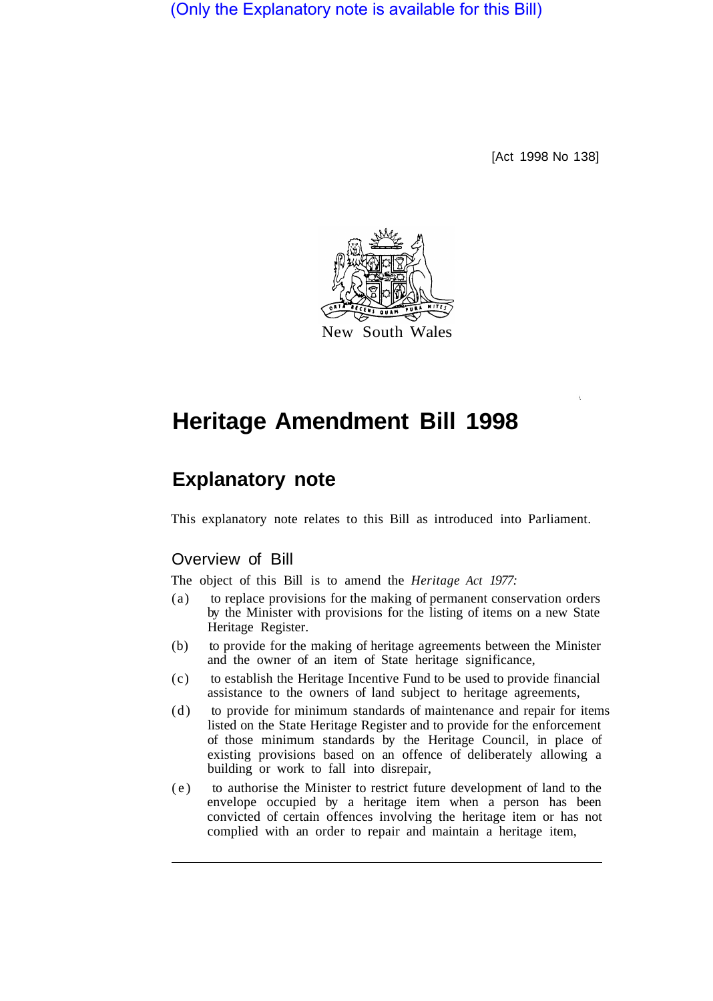(Only the Explanatory note is available for this Bill)

[Act 1998 No 138]



# **Heritage Amendment Bill 1998**

# **Explanatory note**

This explanatory note relates to this Bill as introduced into Parliament.

## Overview of Bill

The object of this Bill is to amend the *Heritage Act 1977:* 

- (a) to replace provisions for the making of permanent conservation orders by the Minister with provisions for the listing of items on a new State Heritage Register.
- (b) to provide for the making of heritage agreements between the Minister and the owner of an item of State heritage significance,
- (c) to establish the Heritage Incentive Fund to be used to provide financial assistance to the owners of land subject to heritage agreements,
- (d) to provide for minimum standards of maintenance and repair for items listed on the State Heritage Register and to provide for the enforcement of those minimum standards by the Heritage Council, in place of existing provisions based on an offence of deliberately allowing a building or work to fall into disrepair,
- (e) to authorise the Minister to restrict future development of land to the envelope occupied by a heritage item when a person has been convicted of certain offences involving the heritage item or has not complied with an order to repair and maintain a heritage item,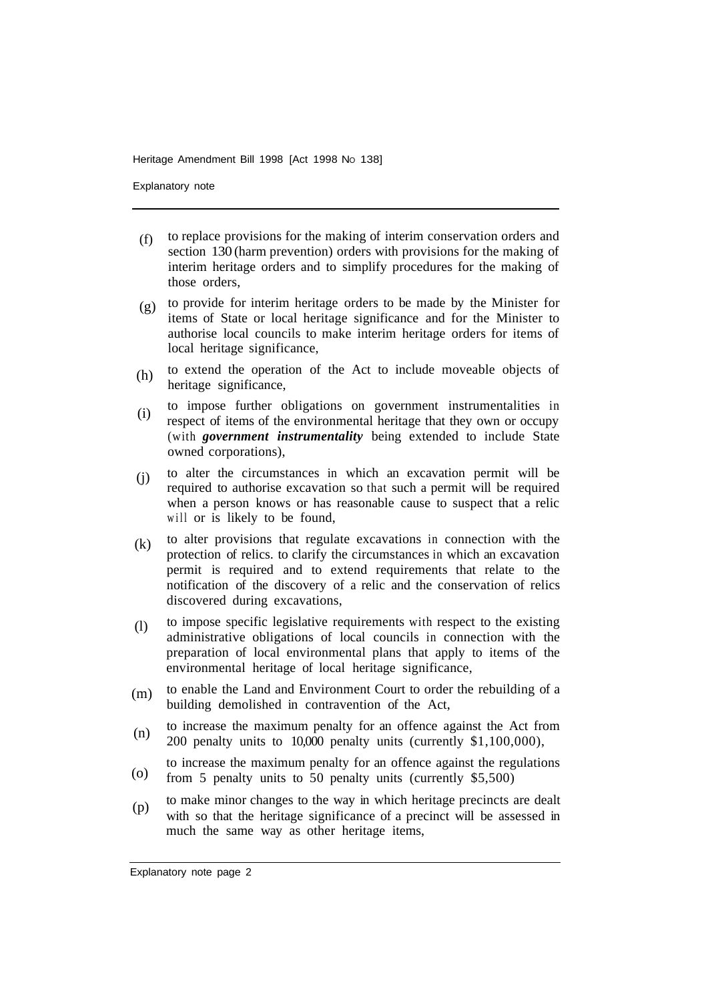Explanatory note

- to replace provisions for the making of interim conservation orders and section 130 (harm prevention) orders with provisions for the making of interim heritage orders and to simplify procedures for the making of those orders,  $(f)$
- to provide for interim heritage orders to be made by the Minister for (g) items of State or local heritage significance and for the Minister to authorise local councils to make interim heritage orders for items of local heritage significance,
- to extend the operation of the Act to include moveable objects of heritage significance, (h)
- to impose further obligations on government instrumentalities in respect of items of the environmental heritage that they own or occupy (with *government instrumentality* being extended to include State owned corporations), (i)
- to alter the circumstances in which an excavation permit will be required to authorise excavation so that such a permit will be required when a person knows or has reasonable cause to suspect that a relic will or is likely to be found, (j)
- to alter provisions that regulate excavations in connection with the protection of relics. to clarify the circumstances in which an excavation permit is required and to extend requirements that relate to the notification of the discovery of a relic and the conservation of relics discovered during excavations, (k)
- to impose specific legislative requirements with respect to the existing administrative obligations of local councils in connection with the preparation of local environmental plans that apply to items of the environmental heritage of local heritage significance, (l)
- to enable the Land and Environment Court to order the rebuilding of a building demolished in contravention of the Act, (m)
- to increase the maximum penalty for an offence against the Act from 200 penalty units to 10,000 penalty units (currently \$1,100,000), (n)
- to increase the maximum penalty for an offence against the regulations from 5 penalty units to 50 penalty units (currently \$5,500) (o)
- to make minor changes to the way in which heritage precincts are dealt with so that the heritage significance of a precinct will be assessed in much the same way as other heritage items, (p)

Explanatory note page 2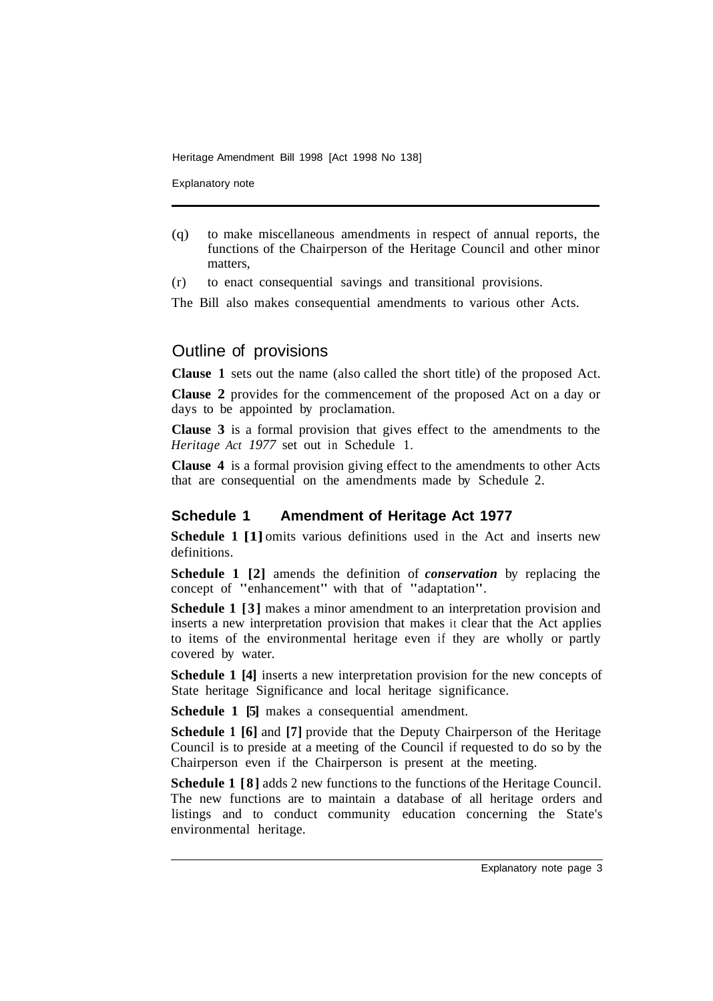Explanatory note

- (q) to make miscellaneous amendments in respect of annual reports, the functions of the Chairperson of the Heritage Council and other minor matters,
- (r) to enact consequential savings and transitional provisions.

The Bill also makes consequential amendments to various other Acts.

# Outline of provisions

**Clause 1** sets out the name (also called the short title) of the proposed Act.

**Clause 2** provides for the commencement of the proposed Act on a day or days to be appointed by proclamation.

**Clause 3** is a formal provision that gives effect to the amendments to the *Heritage Act 1977* set out in Schedule 1.

**Clause 4** is a formal provision giving effect to the amendments to other Acts that are consequential on the amendments made by Schedule 2.

## **Schedule 1 Amendment of Heritage Act 1977**

**Schedule 1 [1]** omits various definitions used in the Act and inserts new definitions.

**Schedule 1 [2]** amends the definition of *conservation* by replacing the concept of "enhancement" with that of "adaptation".

**Schedule 1 [3]** makes a minor amendment to an interpretation provision and inserts a new interpretation provision that makes it clear that the Act applies to items of the environmental heritage even if they are wholly or partly covered by water.

**Schedule 1 [4]** inserts a new interpretation provision for the new concepts of State heritage Significance and local heritage significance.

**Schedule 1 [5]** makes a consequential amendment.

**Schedule 1 [6]** and **[7]** provide that the Deputy Chairperson of the Heritage Council is to preside at a meeting of the Council if requested to do so by the Chairperson even if the Chairperson is present at the meeting.

**Schedule 1 [8]** adds 2 new functions to the functions of the Heritage Council. The new functions are to maintain a database of all heritage orders and listings and to conduct community education concerning the State's environmental heritage.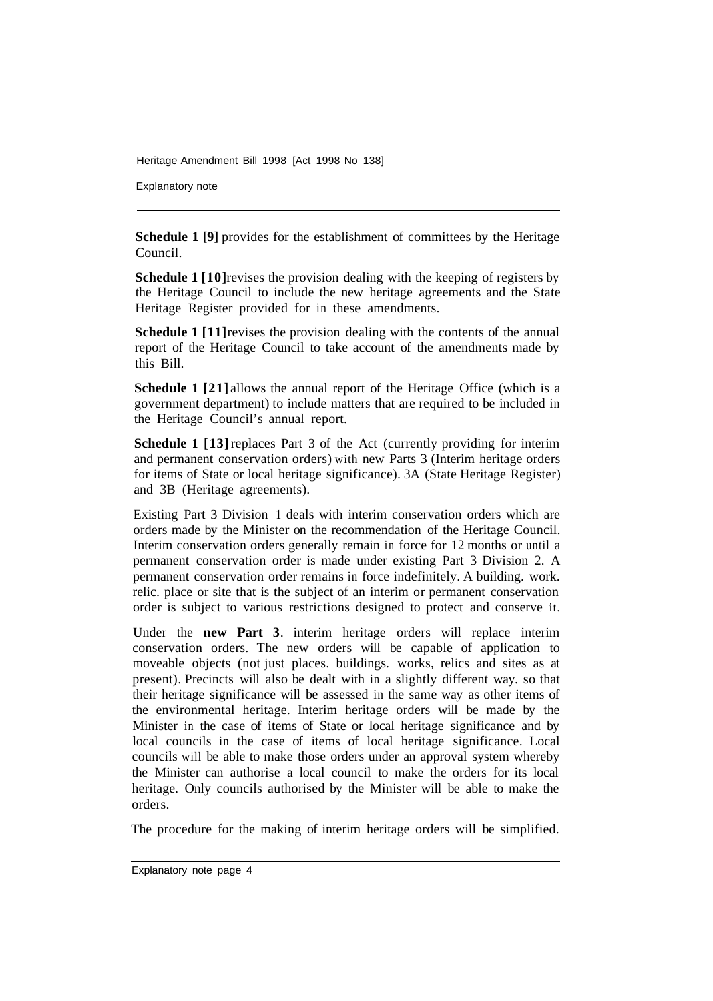Explanatory note

**Schedule 1 [9]** provides for the establishment of committees by the Heritage Council.

**Schedule 1 [10]** revises the provision dealing with the keeping of registers by the Heritage Council to include the new heritage agreements and the State Heritage Register provided for in these amendments.

**Schedule 1 [11]** revises the provision dealing with the contents of the annual report of the Heritage Council to take account of the amendments made by this Bill.

**Schedule 1 [21] allows the annual report of the Heritage Office (which is a** government department) to include matters that are required to be included in the Heritage Council's annual report.

**Schedule 1 [13] replaces Part 3 of the Act (currently providing for interim** and permanent conservation orders) with new Parts 3 (Interim heritage orders for items of State or local heritage significance). 3A (State Heritage Register) and 3B (Heritage agreements).

Existing Part 3 Division 1 deals with interim conservation orders which are orders made by the Minister on the recommendation of the Heritage Council. Interim conservation orders generally remain in force for 12 months or until a permanent conservation order is made under existing Part 3 Division 2. A permanent conservation order remains in force indefinitely. A building. work. relic. place or site that is the subject of an interim or permanent conservation order is subject to various restrictions designed to protect and conserve it.

Under the **new Part 3**. interim heritage orders will replace interim conservation orders. The new orders will be capable of application to moveable objects (not just places. buildings. works, relics and sites as at present). Precincts will also be dealt with in a slightly different way. so that their heritage significance will be assessed in the same way as other items of the environmental heritage. Interim heritage orders will be made by the Minister in the case of items of State or local heritage significance and by local councils in the case of items of local heritage significance. Local councils will be able to make those orders under an approval system whereby the Minister can authorise a local council to make the orders for its local heritage. Only councils authorised by the Minister will be able to make the orders.

The procedure for the making of interim heritage orders will be simplified.

Explanatory note page 4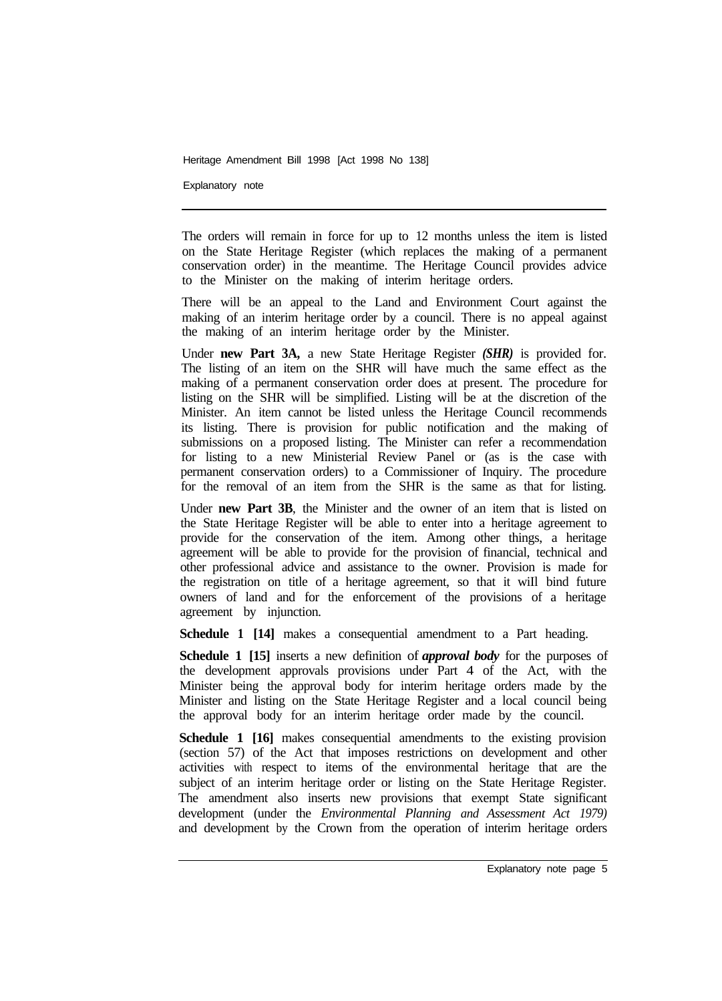Explanatory note

The orders will remain in force for up to 12 months unless the item is listed on the State Heritage Register (which replaces the making of a permanent conservation order) in the meantime. The Heritage Council provides advice to the Minister on the making of interim heritage orders.

There will be an appeal to the Land and Environment Court against the making of an interim heritage order by a council. There is no appeal against the making of an interim heritage order by the Minister.

Under **new Part 3A,** a new State Heritage Register *(SHR)* is provided for. The listing of an item on the SHR will have much the same effect as the making of a permanent conservation order does at present. The procedure for listing on the SHR will be simplified. Listing will be at the discretion of the Minister. An item cannot be listed unless the Heritage Council recommends its listing. There is provision for public notification and the making of submissions on a proposed listing. The Minister can refer a recommendation for listing to a new Ministerial Review Panel or (as is the case with permanent conservation orders) to a Commissioner of Inquiry. The procedure for the removal of an item from the SHR is the same as that for listing.

Under **new Part 3B**, the Minister and the owner of an item that is listed on the State Heritage Register will be able to enter into a heritage agreement to provide for the conservation of the item. Among other things, a heritage agreement will be able to provide for the provision of financial, technical and other professional advice and assistance to the owner. Provision is made for the registration on title of a heritage agreement, so that it wiIl bind future owners of land and for the enforcement of the provisions of a heritage agreement by injunction.

**Schedule 1 [14]** makes a consequential amendment to a Part heading.

**Schedule 1 [15]** inserts a new definition of *approval body* for the purposes of the development approvals provisions under Part 4 of the Act, with the Minister being the approval body for interim heritage orders made by the Minister and listing on the State Heritage Register and a local council being the approval body for an interim heritage order made by the council.

**Schedule 1 [16]** makes consequential amendments to the existing provision (section 57) of the Act that imposes restrictions on development and other activities with respect to items of the environmental heritage that are the subject of an interim heritage order or listing on the State Heritage Register. The amendment also inserts new provisions that exempt State significant development (under the *Environmental Planning and Assessment Act 1979)*  and development by the Crown from the operation of interim heritage orders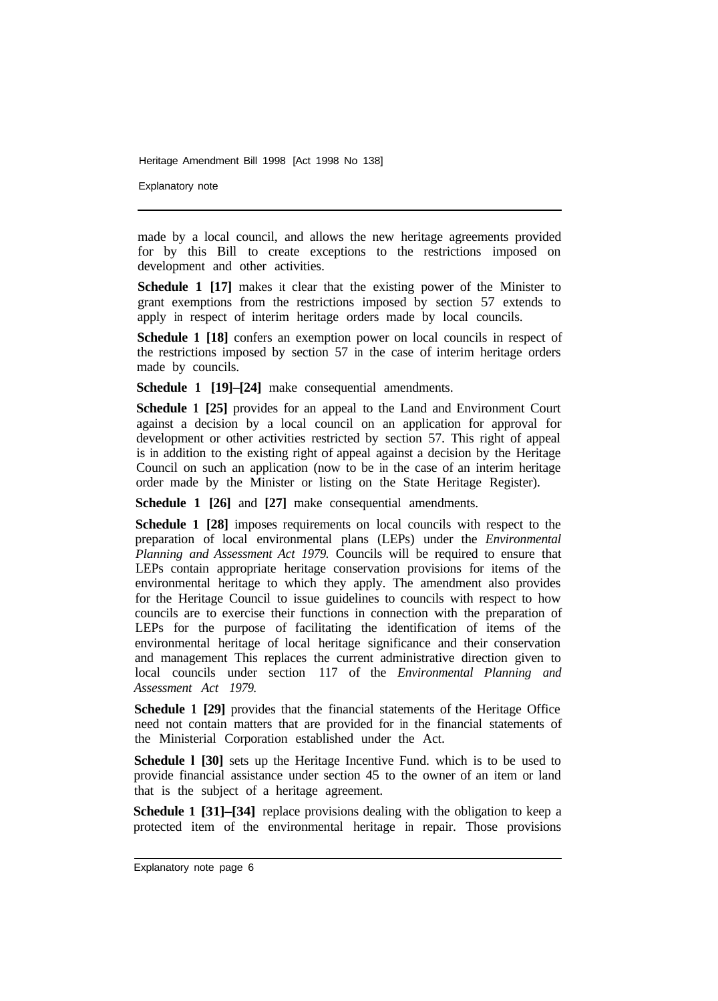Explanatory note

made by a local council, and allows the new heritage agreements provided for by this Bill to create exceptions to the restrictions imposed on development and other activities.

**Schedule 1 [17]** makes it clear that the existing power of the Minister to grant exemptions from the restrictions imposed by section 57 extends to apply in respect of interim heritage orders made by local councils.

**Schedule 1 [18]** confers an exemption power on local councils in respect of the restrictions imposed by section 57 in the case of interim heritage orders made by councils.

**Schedule 1 [19]–[24]** make consequential amendments.

**Schedule 1 [25]** provides for an appeal to the Land and Environment Court against a decision by a local council on an application for approval for development or other activities restricted by section 57. This right of appeal is in addition to the existing right of appeal against a decision by the Heritage Council on such an application (now to be in the case of an interim heritage order made by the Minister or listing on the State Heritage Register).

**Schedule 1 [26]** and **[27]** make consequential amendments.

**Schedule 1 [28]** imposes requirements on local councils with respect to the preparation of local environmental plans (LEPs) under the *Environmental Planning and Assessment Act 1979.* Councils will be required to ensure that LEPs contain appropriate heritage conservation provisions for items of the environmental heritage to which they apply. The amendment also provides for the Heritage Council to issue guidelines to councils with respect to how councils are to exercise their functions in connection with the preparation of LEPs for the purpose of facilitating the identification of items of the environmental heritage of local heritage significance and their conservation and management This replaces the current administrative direction given to local councils under section 117 of the *Environmental Planning and Assessment Act 1979.* 

**Schedule 1 [29]** provides that the financial statements of the Heritage Office need not contain matters that are provided for in the financial statements of the Ministerial Corporation established under the Act.

**Schedule 1 [30]** sets up the Heritage Incentive Fund. which is to be used to provide financial assistance under section 45 to the owner of an item or land that is the subject of a heritage agreement.

**Schedule 1 [31]–[34]** replace provisions dealing with the obligation to keep a protected item of the environmental heritage in repair. Those provisions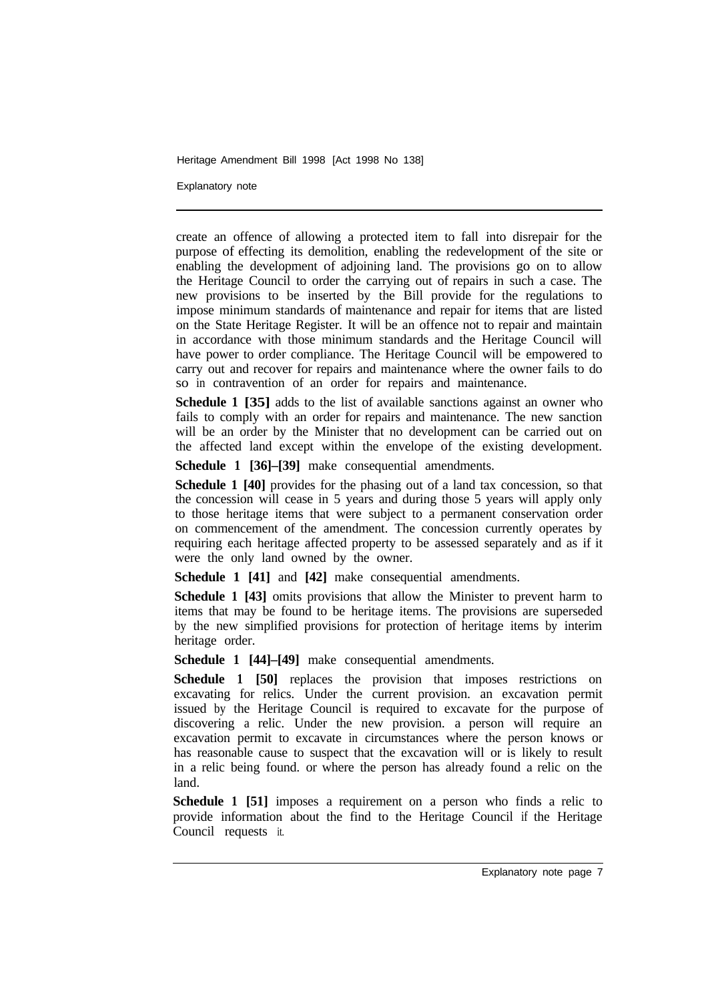Explanatory note

create an offence of allowing a protected item to fall into disrepair for the purpose of effecting its demolition, enabling the redevelopment of the site or enabling the development of adjoining land. The provisions go on to allow the Heritage Council to order the carrying out of repairs in such a case. The new provisions to be inserted by the Bill provide for the regulations to impose minimum standards of maintenance and repair for items that are listed on the State Heritage Register. It will be an offence not to repair and maintain in accordance with those minimum standards and the Heritage Council will have power to order compliance. The Heritage Council will be empowered to carry out and recover for repairs and maintenance where the owner fails to do so in contravention of an order for repairs and maintenance.

**Schedule 1 [35]** adds to the list of available sanctions against an owner who fails to comply with an order for repairs and maintenance. The new sanction will be an order by the Minister that no development can be carried out on the affected land except within the envelope of the existing development.

**Schedule 1 [36]–[39]** make consequential amendments.

**Schedule 1 [40]** provides for the phasing out of a land tax concession, so that the concession will cease in 5 years and during those 5 years will apply only to those heritage items that were subject to a permanent conservation order on commencement of the amendment. The concession currently operates by requiring each heritage affected property to be assessed separately and as if it were the only land owned by the owner.

**Schedule 1 [41]** and **[42]** make consequential amendments.

**Schedule 1 [43]** omits provisions that allow the Minister to prevent harm to items that may be found to be heritage items. The provisions are superseded by the new simplified provisions for protection of heritage items by interim heritage order.

**Schedule 1 [44]–[49]** make consequential amendments.

**Schedule 1 [50]** replaces the provision that imposes restrictions on excavating for relics. Under the current provision. an excavation permit issued by the Heritage Council is required to excavate for the purpose of discovering a relic. Under the new provision. a person will require an excavation permit to excavate in circumstances where the person knows or has reasonable cause to suspect that the excavation will or is likely to result in a relic being found. or where the person has already found a relic on the land.

**Schedule 1 [51]** imposes a requirement on a person who finds a relic to provide information about the find to the Heritage Council if the Heritage Council requests it.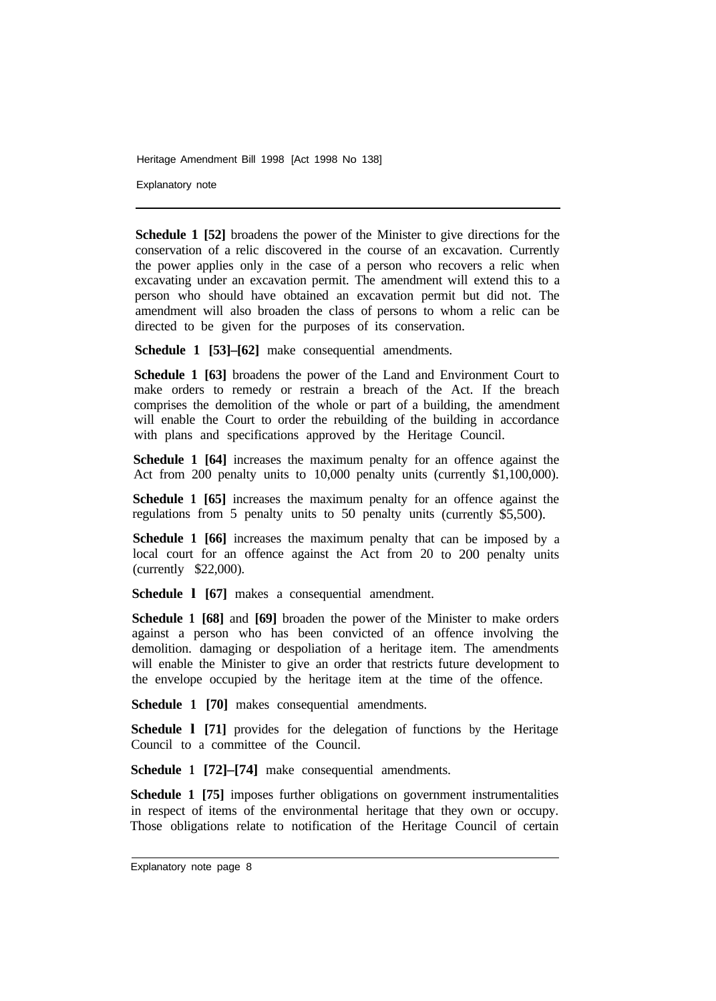Explanatory note

**Schedule 1 [52]** broadens the power of the Minister to give directions for the conservation of a relic discovered in the course of an excavation. Currently the power applies only in the case of a person who recovers a relic when excavating under an excavation permit. The amendment will extend this to a person who should have obtained an excavation permit but did not. The amendment will also broaden the class of persons to whom a relic can be directed to be given for the purposes of its conservation.

**Schedule 1 [53]–[62]** make consequential amendments.

**Schedule 1 [63]** broadens the power of the Land and Environment Court to make orders to remedy or restrain a breach of the Act. If the breach comprises the demolition of the whole or part of a building, the amendment will enable the Court to order the rebuilding of the building in accordance with plans and specifications approved by the Heritage Council.

**Schedule 1 [64]** increases the maximum penalty for an offence against the Act from 200 penalty units to 10,000 penalty units (currently \$1,100,000).

**Schedule 1 [65]** increases the maximum penalty for an offence against the regulations from 5 penalty units to 50 penalty units (currently \$5,500).

Schedule 1 [66] increases the maximum penalty that can be imposed by a local court for an offence against the Act from 20 to 200 penalty units (currently \$22,000).

**Schedule l [67]** makes a consequential amendment.

**Schedule 1 [68]** and **[69]** broaden the power of the Minister to make orders against a person who has been convicted of an offence involving the demolition. damaging or despoliation of a heritage item. The amendments will enable the Minister to give an order that restricts future development to the envelope occupied by the heritage item at the time of the offence.

**Schedule 1 [70]** makes consequential amendments.

**Schedule 1 [71]** provides for the delegation of functions by the Heritage Council to a committee of the Council.

**Schedule 1 [72]–[74]** make consequential amendments.

**Schedule 1 [75]** imposes further obligations on government instrumentalities in respect of items of the environmental heritage that they own or occupy. Those obligations relate to notification of the Heritage Council of certain